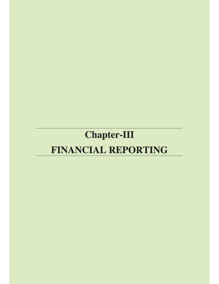# **Chapter-III** FINANCIAL REPORTING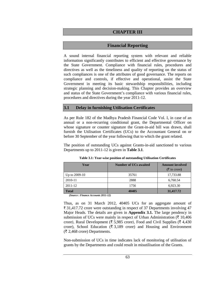# **CHAPTER III**

# **Financial Reporting**

A sound internal financial reporting system with relevant and reliable information significantly contributes to efficient and effective governance by the State Government. Compliance with financial rules, procedures and directives as well as the timeliness and quality of reporting on the status of such compliances is one of the attributes of good governance. The reports on compliance and controls, if effective and operational, assist the State Government in meeting its basic stewardship responsibilities, including strategic planning and decision-making. This Chapter provides an overview and status of the State Government's compliance with various financial rules, procedures and directives during the year 2011-12.

# **3.1 Delay in furnishing Utilisation Certificates**

As per Rule 182 of the Madhya Pradesh Financial Code Vol. I, in case of an annual or a non-recurring conditional grant, the Departmental Officer on whose signature or counter signature the Grant-in-aid bill was drawn, shall furnish the Utilisation Certificates (UCs) to the Accountant General on or before 30 September of the year following that to which the grant related.

The position of outstanding UCs against Grants-in-aid sanctioned to various Departments up to 2011-12 is given in **Table 3.1**.

| Year            | <b>Number of UCs awaited</b> | <b>Amount involved</b>      |  |
|-----------------|------------------------------|-----------------------------|--|
|                 |                              | $(\overline{\xi}$ in crore) |  |
| Up to $2009-10$ | 35761                        | 17,733.88                   |  |
| 2010-11         | 2888                         | 6,760.54                    |  |
| 2011-12         | 1756                         | 6.923.30                    |  |
| <b>Total</b>    | 40405                        | 31,417.72                   |  |

**Table 3.1: Year-wise position of outstanding Utilisation Certificates** 

 *(Source : Finance Accounts 2011-12)*

Thus, as on 31 March 2012, 40405 UCs for an aggregate amount of ` 31,417.72 crore were outstanding in respect of 37 Departments involving 47 Major Heads. The details are given in **Appendix 3.1.** The large pendency in submission of UCs were mainly in respect of Urban Administration ( $\bar{\tau}$  10,406) crore), Rural Development ( $\bar{\tau}$  5,985 crore), Food and Civil Supplies ( $\bar{\tau}$  4,430 crore), School Education ( $\bar{\tau}$  3,189 crore) and Housing and Environment  $(\overline{\mathfrak{F}} 2,468$  crore) Departments.

Non-submission of UCs in time indicates lack of monitoring of utilisation of grants by the Departments and could result in misutilisation of the Grants.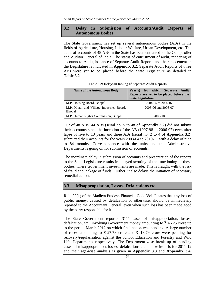## **3.2 Delay in Submission of Accounts/Audit Reports of Autonomous Bodies**

The State Government has set up several autonomous bodies (ABs) in the fields of Agriculture, Housing, Labour Welfare, Urban Development, etc. The audit of accounts of 48 ABs in the State has been entrusted to the Comptroller and Auditor General of India. The status of entrustment of audit, rendering of accounts to Audit, issuance of Separate Audit Reports and their placement in the Legislature is indicated in **Appendix 3.2**. Separate Audit Reports of three ABs were yet to be placed before the State Legislature as detailed in **Table 3.2**.

| <b>Name of the Autonomous Body</b>                        | Year(s) for which Separate<br>Audit<br>Reports are yet to be placed before the<br><b>State Legislature</b> |  |  |
|-----------------------------------------------------------|------------------------------------------------------------------------------------------------------------|--|--|
| M.P. Housing Board, Bhopal                                | 2004-05 to 2006-07                                                                                         |  |  |
| M.P. Khadi and Village Industries Board,<br><b>Bhopal</b> | 2005-06 and 2006-07                                                                                        |  |  |
| M.P. Human Rights Commission, Bhopal                      | 2009-10                                                                                                    |  |  |

**Table 3.2: Delays in tabling of Separate Audit Reports** 

Out of 48 ABs, 44 ABs (serial no. 5 to 48 of **Appendix 3.2**) did not submit their accounts since the inception of the AB (1997-98 to 2006-07) even after lapse of five to 13 years and three ABs (serial no. 2 to 4 of **Appendix 3.2**) submitted their accounts for the years 2003-04 to 2010-11 with a delay of nine to 84 months. Correspondence with the units and the Administrative Departments is going on for submission of accounts.

The inordinate delay in submission of accounts and presentation of the reports to the State Legislature results in delayed scrutiny of the functioning of these bodies, where Government investments are made. This is fraught with the risk of fraud and leakage of funds. Further, it also delays the initiation of necessary remedial action.

### **3.3 Misappropriation, Losses, Defalcations etc.**

Rule 22(1) of the Madhya Pradesh Financial Code Vol. I states that any loss of public money, caused by defalcation or otherwise, should be immediately reported to the Accountant General, even when such loss has been made good by the party responsible for it.

The State Government reported 3111 cases of misappropriation, losses, defalcation, etc., involving Government money amounting to  $\bar{\tau}$  46.25 crore up to the period March 2012 on which final action was pending. A large number of cases amounting to  $\bar{\tau}$  27.78 crore and  $\bar{\tau}$  13.79 crore were pending for recovery/regularisation against the School Education and Forestry and Wild Life Departments respectively. The Department-wise break up of pending cases of misappropriation, losses, defalcations etc. and write-offs for 2011-12 and their age-wise analysis is given in **Appendix 3.3** and **Appendix 3.4.**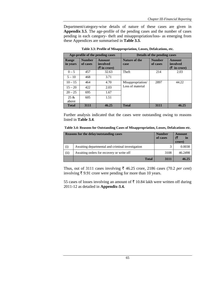Department/category-wise details of nature of these cases are given in **Appendix 3.5**. The age-profile of the pending cases and the number of cases pending in each category- theft and misappropriation/loss- as emerging from these Appendices are summarised in **Table 3.3.** 

| Age-profile of the pending cases |                           | Details of the pending cases  |                                       |                           |                                    |
|----------------------------------|---------------------------|-------------------------------|---------------------------------------|---------------------------|------------------------------------|
| Range<br>in years                | <b>Number</b><br>of cases | Amount<br>involved<br>( ₹ in) | Nature of the<br>case                 | <b>Number</b><br>of cases | Amount<br>involved<br>$(5 \infty)$ |
| $0 - 5$                          | 457                       | 32.63                         | Theft                                 | 214                       | 2.03                               |
| $5 - 10$                         | 468                       | 3.71                          |                                       |                           |                                    |
| $10 - 15$                        | 464                       | 4.70                          | Misappropriation/<br>Loss of material | 2897                      | 44.22                              |
| $15 - 20$                        | 422                       | 2.03                          |                                       |                           |                                    |
| $20 - 25$                        | 695                       | 1.67                          |                                       |                           |                                    |
| 25 &<br>above                    | 605                       | 1.51                          |                                       |                           |                                    |
| <b>Total</b>                     | 3111                      | 46.25                         | <b>Total</b>                          | 3111                      | 46.25                              |

**Table 3.3: Profile of Misappropriation, Losses, Defalcations, etc.** 

Further analysis indicated that the cases were outstanding owing to reasons listed in **Table 3.4**.

|  |  |  | Table 3.4: Reasons for Outstanding Cases of Misappropriation, Losses, Defalcations etc. |
|--|--|--|-----------------------------------------------------------------------------------------|
|--|--|--|-----------------------------------------------------------------------------------------|

| <b>Reasons for the delay/outstanding cases</b> |                                                  | <b>Number</b><br>of cases | Amount<br>in<br>crore) |
|------------------------------------------------|--------------------------------------------------|---------------------------|------------------------|
| (i)                                            | Awaiting departmental and criminal investigation | 3                         | 0.0038                 |
| (ii)                                           | Awaiting orders for recovery or write off        | 3108                      | 46.2498                |
|                                                | <b>Total</b>                                     | 3111                      | 46.25                  |

Thus, out of 3111 cases involving  $\bar{\tau}$  46.25 crore, 2186 cases (70.2 *per cent*) involving  $\bar{\tau}$  9.91 crore were pending for more than 10 years.

55 cases of losses involving an amount of  $\bar{\tau}$  10.84 lakh were written off during 2011-12 as detailed in **Appendix-3.4.**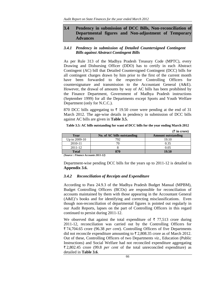## **3.4 Pendency in submission of DCC Bills, Non-reconciliation of Departmental figures and Non-adjustment of Temporary Advances**

### *3.4.1 Pendency in submission of Detailed Countersigned Contingent Bills against Abstract Contingent Bills*

As per Rule 313 of the Madhya Pradesh Treasury Code (MPTC), every Drawing and Disbursing Officer (DDO) has to certify in each Abstract Contingent (AC) bill that Detailed Countersigned Contingent (DCC) bills for all contingent charges drawn by him prior to the first of the current month have been forwarded to the respective Controlling Officers for countersignature and transmission to the Accountant General (A&E). However, the drawal of amounts by way of AC bills has been prohibited by the Finance Department, Government of Madhya Pradesh instructions (September 1999) for all the Departments except Sports and Youth Welfare Department (only for N.C.C.).

870 DCC bills aggregating to  $\bar{\tau}$  19.50 crore were pending at the end of 31 March 2012. The age-wise details in pendency in submission of DCC bills against AC bills are given in **Table 3.5.** 

| Table 3.5: AC bills outstanding for want of DCC bills for the year ending March 2012 |  |                                 |
|--------------------------------------------------------------------------------------|--|---------------------------------|
|                                                                                      |  | $(F_{\text{max}}^{\text{max}})$ |

|                 |                             | (х ш сгоге)               |
|-----------------|-----------------------------|---------------------------|
| Year            | No. of AC bills outstanding | <b>Amount outstanding</b> |
| Up to $2009-10$ | 792                         | 19.10                     |
| 2010-11         |                             | 0.35                      |
| $2011 - 12$     |                             | 0.05                      |
| <b>Total</b>    | 870                         | 19.50                     |

*(Source : Finance Accounts 2011-12)* 

Department-wise pending DCC bills for the years up to 2011-12 is detailed in **Appendix 3.6.** 

#### *3.4.2 Reconciliation of Receipts and Expenditure*

According to Para 24.9.3 of the Madhya Pradesh Budget Manual (MPBM), Budget Controlling Officers (BCOs) are responsible for reconciliation of accounts maintained by them with those appearing in the Accountant General (A&E)'s books and for identifying and correcting misclassifications. Even though non-reconciliation of departmental figures is pointed out regularly in our Audit Reports, lapses on the part of Controlling Officers in this regard continued to persist during 2011-12.

We observed that against the total expenditure of  $\bar{\tau}$  77,513 crore during 2011-12, reconciliation was carried out by the Controlling Officers for ` 74,704.65 crore (96.38 *per cent*). Controlling Officers of five Departments did not reconcile expenditure amounting to  $\bar{\tau}$  2,808.35 crore as of March 2012. Out of these, Controlling Officers of two Departments *viz.,* Education (Public Instructions) and Social Welfare had not reconciled expenditure aggregating ` 2,802.45 crore (99.8 *per cent* of the total unreconciled expenditure) as detailed in **Table 3.6**.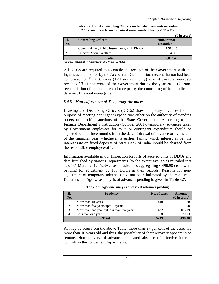**(**` **in crore)** 

| Table 3.6: List of Controlling Officers under whom amounts exceeding       |  |
|----------------------------------------------------------------------------|--|
| $\bar{\tau}$ 10 crore in each case remained un-reconciled during 2011-2012 |  |

|     |                                                | (а ш сгоге)       |
|-----|------------------------------------------------|-------------------|
| SI. | <b>Controlling Officers</b>                    | <b>Amount not</b> |
| No. |                                                | reconciled        |
|     | Commissioner, Public Instructions, M.P. Bhopal | 1.918.45          |
|     | Director, Social Welfare                       | 884.00            |
|     | <b>Total</b>                                   | 2.802.45          |

*(Source: Information furnished by AG (A&E)-I, M.P.)* 

All DDOs are required to reconcile the receipts of the Government with the figures accounted for by the Accountant General. Such reconciliation had been completed for  $\bar{\tau}$  1,036 crore (1.44 *per cent* only) against the total non-debt receipt of  $\bar{\xi}$  71,753 crore of the Government during the year 2011-12. Nonreconciliation of expenditure and receipts by the controlling officers indicated deficient financial management.

#### *3.4.3 Non-adjustment of Temporary Advances*

Drawing and Disbursing Officers (DDOs) draw temporary advances for the purpose of meeting contingent expenditure either on the authority of standing orders or specific sanctions of the State Government. According to the Finance Department's instruction (October 2001), temporary advances taken by Government employees for tours or contingent expenditure should be adjusted within three months from the date of drawal of advance or by the end of the financial year, whichever is earlier, failing which interest as per the interest rate on fixed deposits of State Bank of India should be charged from the responsible employee/officer.

Information available in our Inspection Reports of audited units of DDOs and data furnished by various Departments (to the extent available) revealed that as of 31 March 2012, 5239 cases of advances aggregating  $\bar{\tau}$  498.90 crore were pending for adjustment by 138 DDOs in their records. Reasons for nonadjustment of temporary advances had not been intimated by the concerned Departments. Age-wise analysis of advances pending is given in **Table 3.7.** 

| SI.<br>No. | <b>Pendency</b>                             | No. of cases | Amount<br>$(\bar{\tau}$ in crore) |
|------------|---------------------------------------------|--------------|-----------------------------------|
|            | More than 10 years                          | 1448         | 1.88                              |
| 2          | More than five years upto 10 years          | 1261         | 11.90                             |
| 3          | More than one year but less than five years | 1472         | 105.19                            |
|            | Less than one year                          | 1058         | 379.93                            |
|            | <b>Total</b>                                |              | 498.90                            |

**Table 3.7: Age-wise analysis of cases of advances pending** 

As may be seen from the above Table, more than 27 per cent of the cases are more than 10 years old and thus, the possibility of their recovery appears to be remote. Non-recovery of advances indicated absence of effective internal controls in the concerned Departments.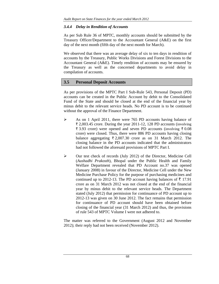## *3.4.4 Delay in Rendition of Accounts*

As per Sub Rule 36 of MPTC, monthly accounts should be submitted by the Treasury Officer/Department to the Accountant General (A&E) on the first day of the next month (fifth day of the next month for March).

We observed that there was an average delay of six to ten days in rendition of accounts by the Treasury, Public Works Divisions and Forest Divisions to the Accountant General (A&E). Timely rendition of accounts may be ensured by the Treasury as well as the concerned departments to avoid delay in compilation of accounts.

## **3.5 Personal Deposit Accounts**

As per provisions of the MPTC Part I Sub-Rule 543, Personal Deposit (PD) accounts can be created in the Public Account by debit to the Consolidated Fund of the State and should be closed at the end of the financial year by minus debit to the relevant service heads. No PD account is to be continued without the approval of the Finance Department.

- ¾ As on 1 April 2011, there were 765 PD accounts having balance of  $\bar{\xi}$  2,003.45 crore. During the year 2011-12, 128 PD accounts (involving  $\bar{\xi}$  3.93 crore) were opened and seven PD accounts (involving  $\bar{\xi}$  0.08 crore) were closed. Thus, there were 886 PD accounts having closing balance aggregating  $\overline{\tau}$  2,007.30 crore as on 31 March 2012. The closing balance in the PD accounts indicated that the administrators had not followed the aforesaid provisions of MPTC Part I.
- $\triangleright$  Our test check of records (July 2012) of the Director, Medicine Cell (*Aushadhi Prakosth*), Bhopal under the Public Health and Family Welfare Department revealed that PD Account no.37 was opened (January 2008) in favour of the Director, Medicine Cell under the New Medicine Purchase Policy for the purpose of purchasing medicines and continued up to 2012-13. The PD account having balances of  $\bar{\tau}$  17.91 crore as on 31 March 2012 was not closed at the end of the financial year by minus debit to the relevant service heads. The Department stated (July 2012) that permission for continuance of PD account up to 2012-13 was given on 30 June 2012. The fact remains that permission for continuance of PD account should have been obtained before closing of the financial year (31 March 2012) and thus, the provisions of rule 543 of MPTC Volume I were not adhered to.

The matter was referred to the Government (August 2012 and November 2012); their reply had not been received (November 2012).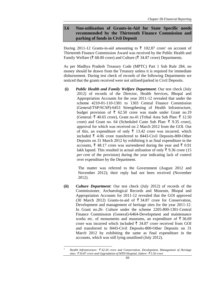## **3.6 Non-utilisation of Grants-in-Aid for State Specific needs recommended by the Thirteenth Finance Commission and parking of funds in Civil Deposit**

During 2011-12 Grants-in-aid amounting to ₹ 102.87 crore<sup>1</sup> on account of Thirteenth Finance Commission Award was received by the Public Health and Family Welfare ( $\bar{\xi}$  68.00 crore) and Culture ( $\bar{\xi}$  34.87 crore) Departments.

As per Madhya Pradesh Treasury Code (MPTC) Part 1 Sub Rule 284, no money should be drawn from the Treasury unless it is required for immediate disbursement. During test check of records of the following Departments we noticed that the grants received were not utilised/parked in Civil Deposits.

**(i)** *Public Health and Family Welfare Department*: Our test check (July 2012) of records of the Director, Health Services, Bhopal and Appropriation Accounts for the year 2011-12 revealed that under the scheme 4210-01-110-1301 to 1303 Central Finance Commission (General/TSP/SCSP)-6453 Strengthening of Health Infrastructure, budget provision of  $\bar{\tau}$  62.50 crore was made under Grant no.19 (General:  $\bar{\xi}$  40.65 crore), Grant no.41 (Tribal Area Sub Plan:  $\bar{\xi}$  12.50 crore) and Grant no. 64 (Scheduled Caste Sub Plan:  $\bar{\tau}$  9.35 crore), approval for which was received on 2 March 2012 from the GOI. Out of this, an expenditure of only  $\bar{\tau}$  13.42 crore was incurred, which included  $\bar{\tau}$  4.06 crore transferred to 8443-Civil Deposits-800-Other Deposits on 31 March 2012 by exhibiting it as final expenditure in the accounts,  $\bar{\xi}$  48.17 crore was surrendered during the year and  $\bar{\xi}$  0.91 lakh lapsed. This resulted in actual utilisation of only  $\bar{\tau}$  9.36 crore (15) *per cent* of the provision) during the year indicating lack of control over expenditure by the Department.

> The matter was referred to the Government (August 2012 and November 2012); their reply had not been received (November 2012).

**(ii)** *Culture Department*: Our test check (July 2012) of records of the Commissioner, Archaeological Records and Museum, Bhopal and Appropriation Accounts for 2011-12 revealed that the GOI approved (30 March 2012) Grants-in-aid of  $\overline{\xi}$  34.87 crore for Conservation, Development and management of heritage sites for the year 2011-12. In Grant no.26- Culture under the scheme 2205-800-1301-Central Finance Commission (General)-6464-Development and maintenance works etc. of monuments and museums, an expenditure of  $\bar{\tau}$  36.69 crore was incurred which included  $\bar{\tau}$  34.87 crore received from GOI and transferred to 8443-Civil Deposits-800-Other Deposits on 31 March 2012 by exhibiting the same as final expenditure in the accounts, which was still lying unutilised (July 2012).

*<sup>1</sup> Health Infrastructure:* ` *62.50 crore and Conservation, Development, Management of Heritage*  sites: ₹34.87 crore and Upgradation of MTH Hospital, Indore: ₹5.50 crore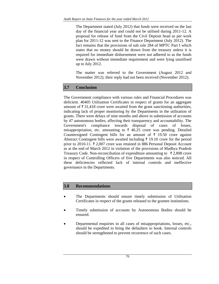The Department stated (July 2012) that funds were received on the last day of the financial year and could not be utilised during 2011-12. A proposal for release of fund from the Civil Deposit head as per work plan for 2011-12 was sent to the Finance Department (July 2012). The fact remains that the provisions of sub rule 284 of MPTC Part I which states that no money should be drawn from the treasury unless it is required for immediate disbursement were not adhered to as the funds were drawn without immediate requirement and were lying unutilised up to July 2012.

The matter was referred to the Government (August 2012 and November 2012); their reply had not been received (November 2012).

# **3.7 Conclusion**

The Government compliance with various rules and Financial Procedures was deficient. 40405 Utilisation Certificates in respect of grants for an aggregate amount of  $\bar{\tau}$  31,418 crore were awaited from the grant sanctioning authorities, indicating lack of proper monitoring by the Departments in the utilisation of grants. There were delays of nine months and above in submission of accounts by 47 autonomous bodies, affecting their transparency and accountability. The Government's compliance towards disposal of cases of losses, misappropriation, etc. amounting to  $\bar{\tau}$  46.25 crore was pending. Detailed Countersigned Contingent bills for an amount of  $\bar{\tau}$  19.50 crore against Abstract Contingent bills were awaited including  $\bar{\tau}$  19.10 crore for the period prior to 2010-11.  $\overline{\tau}$  2,007 crore was retained in 886 Personal Deposit Account as at the end of March 2012 in violation of the provisions of Madhya Pradesh Treasury Code. Non-reconciliation of expenditure amounting to  $\bar{\tau}$  2,808 crore in respect of Controlling Officers of five Departments was also noticed. All these deficiencies reflected lack of internal controls and ineffective governance in the Departments.

## **3.8 Recommendations**

- The Departments should ensure timely submission of Utilisation Certificates in respect of the grants released to the grantee institutions.
- Timely submission of accounts by Autonomous Bodies should be ensured.
- Departmental enquiries in all cases of misappropriations, losses, etc., should be expedited to bring the defaulters to book. Internal controls should be strengthened to prevent recurrence of such cases.